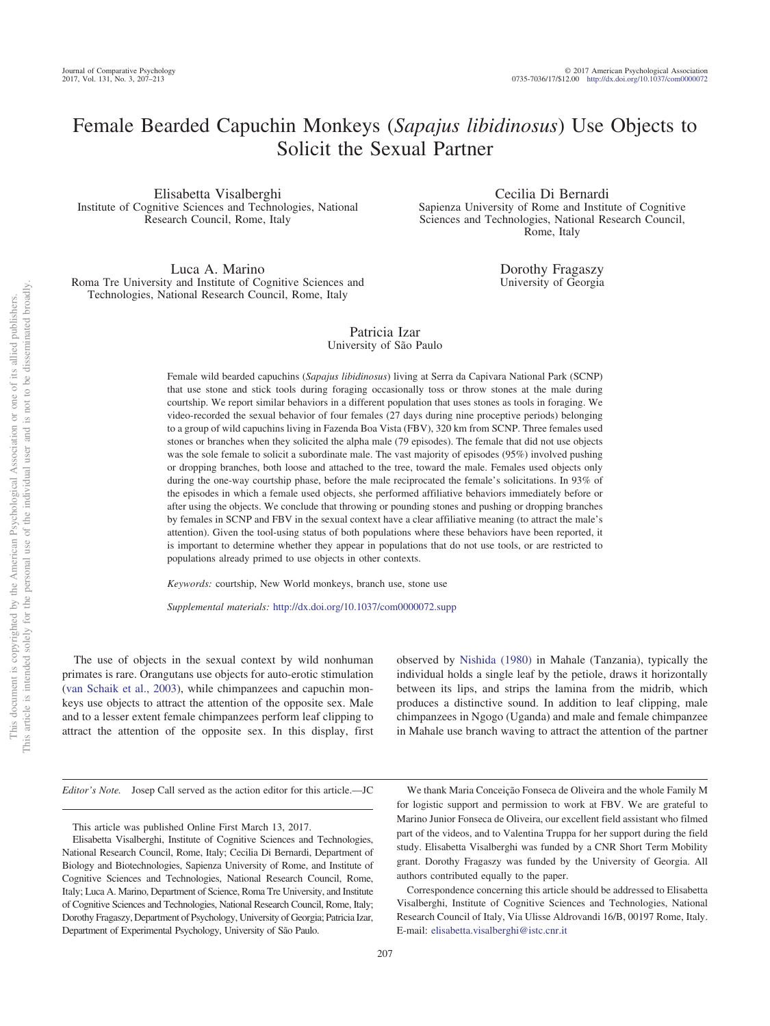# Female Bearded Capuchin Monkeys (*Sapajus libidinosus*) Use Objects to Solicit the Sexual Partner

Elisabetta Visalberghi Institute of Cognitive Sciences and Technologies, National Research Council, Rome, Italy

Cecilia Di Bernardi Sapienza University of Rome and Institute of Cognitive Sciences and Technologies, National Research Council, Rome, Italy

> Dorothy Fragaszy University of Georgia

Luca A. Marino Roma Tre University and Institute of Cognitive Sciences and Technologies, National Research Council, Rome, Italy

## Patricia Izar University of São Paulo

Female wild bearded capuchins (*Sapajus libidinosus*) living at Serra da Capivara National Park (SCNP) that use stone and stick tools during foraging occasionally toss or throw stones at the male during courtship. We report similar behaviors in a different population that uses stones as tools in foraging. We video-recorded the sexual behavior of four females (27 days during nine proceptive periods) belonging to a group of wild capuchins living in Fazenda Boa Vista (FBV), 320 km from SCNP. Three females used stones or branches when they solicited the alpha male (79 episodes). The female that did not use objects was the sole female to solicit a subordinate male. The vast majority of episodes (95%) involved pushing or dropping branches, both loose and attached to the tree, toward the male. Females used objects only during the one-way courtship phase, before the male reciprocated the female's solicitations. In 93% of the episodes in which a female used objects, she performed affiliative behaviors immediately before or after using the objects. We conclude that throwing or pounding stones and pushing or dropping branches by females in SCNP and FBV in the sexual context have a clear affiliative meaning (to attract the male's attention). Given the tool-using status of both populations where these behaviors have been reported, it is important to determine whether they appear in populations that do not use tools, or are restricted to populations already primed to use objects in other contexts.

*Keywords:* courtship, New World monkeys, branch use, stone use

*Supplemental materials:* http://dx.doi.org/10.1037/com0000072.supp

The use of objects in the sexual context by wild nonhuman primates is rare. Orangutans use objects for auto-erotic stimulation [\(van Schaik et al., 2003\)](#page-6-0), while chimpanzees and capuchin monkeys use objects to attract the attention of the opposite sex. Male and to a lesser extent female chimpanzees perform leaf clipping to attract the attention of the opposite sex. In this display, first observed by [Nishida \(1980\)](#page-6-1) in Mahale (Tanzania), typically the individual holds a single leaf by the petiole, draws it horizontally between its lips, and strips the lamina from the midrib, which produces a distinctive sound. In addition to leaf clipping, male chimpanzees in Ngogo (Uganda) and male and female chimpanzee in Mahale use branch waving to attract the attention of the partner

*Editor's Note.* Josep Call served as the action editor for this article.—JC

We thank Maria Conceição Fonseca de Oliveira and the whole Family M for logistic support and permission to work at FBV. We are grateful to Marino Junior Fonseca de Oliveira, our excellent field assistant who filmed part of the videos, and to Valentina Truppa for her support during the field study. Elisabetta Visalberghi was funded by a CNR Short Term Mobility grant. Dorothy Fragaszy was funded by the University of Georgia. All authors contributed equally to the paper.

Correspondence concerning this article should be addressed to Elisabetta Visalberghi, Institute of Cognitive Sciences and Technologies, National Research Council of Italy, Via Ulisse Aldrovandi 16/B, 00197 Rome, Italy. E-mail: [elisabetta.visalberghi@istc.cnr.it](mailto:elisabetta.visalberghi@istc.cnr.it)

This article was published Online First March 13, 2017.

Elisabetta Visalberghi, Institute of Cognitive Sciences and Technologies, National Research Council, Rome, Italy; Cecilia Di Bernardi, Department of Biology and Biotechnologies, Sapienza University of Rome, and Institute of Cognitive Sciences and Technologies, National Research Council, Rome, Italy; Luca A. Marino, Department of Science, Roma Tre University, and Institute of Cognitive Sciences and Technologies, National Research Council, Rome, Italy; Dorothy Fragaszy, Department of Psychology, University of Georgia; Patricia Izar, Department of Experimental Psychology, University of São Paulo.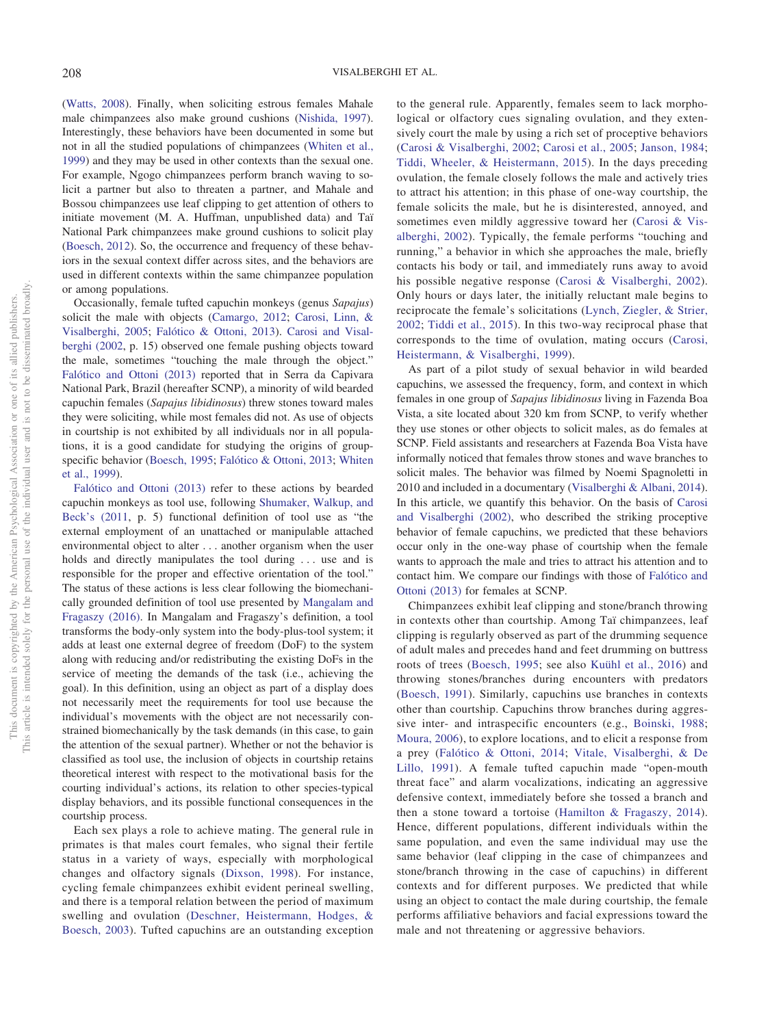[\(Watts, 2008\)](#page-6-2). Finally, when soliciting estrous females Mahale male chimpanzees also make ground cushions [\(Nishida, 1997\)](#page-6-3). Interestingly, these behaviors have been documented in some but not in all the studied populations of chimpanzees [\(Whiten et al.,](#page-6-4) [1999\)](#page-6-4) and they may be used in other contexts than the sexual one. For example, Ngogo chimpanzees perform branch waving to solicit a partner but also to threaten a partner, and Mahale and Bossou chimpanzees use leaf clipping to get attention of others to initiate movement (M. A. Huffman, unpublished data) and Taï National Park chimpanzees make ground cushions to solicit play [\(Boesch, 2012\)](#page-5-0). So, the occurrence and frequency of these behaviors in the sexual context differ across sites, and the behaviors are used in different contexts within the same chimpanzee population or among populations.

Occasionally, female tufted capuchin monkeys (genus *Sapajus*) solicit the male with objects [\(Camargo, 2012;](#page-5-1) [Carosi, Linn, &](#page-5-2) [Visalberghi, 2005;](#page-5-2) [Falótico & Ottoni, 2013\)](#page-6-5). [Carosi and Visal](#page-5-3)[berghi \(2002,](#page-5-3) p. 15) observed one female pushing objects toward the male, sometimes "touching the male through the object." [Falótico and Ottoni \(2013\)](#page-6-5) reported that in Serra da Capivara National Park, Brazil (hereafter SCNP), a minority of wild bearded capuchin females (*Sapajus libidinosus*) threw stones toward males they were soliciting, while most females did not. As use of objects in courtship is not exhibited by all individuals nor in all populations, it is a good candidate for studying the origins of groupspecific behavior [\(Boesch, 1995;](#page-5-4) [Falótico & Ottoni, 2013;](#page-6-5) [Whiten](#page-6-4) [et al., 1999\)](#page-6-4).

[Falótico and Ottoni \(2013\)](#page-6-5) refer to these actions by bearded capuchin monkeys as tool use, following [Shumaker, Walkup, and](#page-6-6) [Beck's \(2011,](#page-6-6) p. 5) functional definition of tool use as "the external employment of an unattached or manipulable attached environmental object to alter . . . another organism when the user holds and directly manipulates the tool during ... use and is responsible for the proper and effective orientation of the tool." The status of these actions is less clear following the biomechanically grounded definition of tool use presented by [Mangalam and](#page-6-7) [Fragaszy \(2016\).](#page-6-7) In Mangalam and Fragaszy's definition, a tool transforms the body-only system into the body-plus-tool system; it adds at least one external degree of freedom (DoF) to the system along with reducing and/or redistributing the existing DoFs in the service of meeting the demands of the task (i.e., achieving the goal). In this definition, using an object as part of a display does not necessarily meet the requirements for tool use because the individual's movements with the object are not necessarily constrained biomechanically by the task demands (in this case, to gain the attention of the sexual partner). Whether or not the behavior is classified as tool use, the inclusion of objects in courtship retains theoretical interest with respect to the motivational basis for the courting individual's actions, its relation to other species-typical display behaviors, and its possible functional consequences in the courtship process.

Each sex plays a role to achieve mating. The general rule in primates is that males court females, who signal their fertile status in a variety of ways, especially with morphological changes and olfactory signals [\(Dixson, 1998\)](#page-6-8). For instance, cycling female chimpanzees exhibit evident perineal swelling, and there is a temporal relation between the period of maximum swelling and ovulation [\(Deschner, Heistermann, Hodges, &](#page-6-9) [Boesch, 2003\)](#page-6-9). Tufted capuchins are an outstanding exception to the general rule. Apparently, females seem to lack morphological or olfactory cues signaling ovulation, and they extensively court the male by using a rich set of proceptive behaviors [\(Carosi & Visalberghi, 2002;](#page-5-3) [Carosi et al., 2005;](#page-5-2) [Janson, 1984;](#page-6-10) [Tiddi, Wheeler, & Heistermann, 2015\)](#page-6-11). In the days preceding ovulation, the female closely follows the male and actively tries to attract his attention; in this phase of one-way courtship, the female solicits the male, but he is disinterested, annoyed, and sometimes even mildly aggressive toward her [\(Carosi & Vis](#page-5-3)[alberghi, 2002\)](#page-5-3). Typically, the female performs "touching and running," a behavior in which she approaches the male, briefly contacts his body or tail, and immediately runs away to avoid his possible negative response [\(Carosi & Visalberghi, 2002\)](#page-5-3). Only hours or days later, the initially reluctant male begins to reciprocate the female's solicitations [\(Lynch, Ziegler, & Strier,](#page-6-12) [2002;](#page-6-12) [Tiddi et al., 2015\)](#page-6-11). In this two-way reciprocal phase that corresponds to the time of ovulation, mating occurs [\(Carosi,](#page-5-5) [Heistermann, & Visalberghi, 1999\)](#page-5-5).

As part of a pilot study of sexual behavior in wild bearded capuchins, we assessed the frequency, form, and context in which females in one group of *Sapajus libidinosus* living in Fazenda Boa Vista, a site located about 320 km from SCNP, to verify whether they use stones or other objects to solicit males, as do females at SCNP. Field assistants and researchers at Fazenda Boa Vista have informally noticed that females throw stones and wave branches to solicit males. The behavior was filmed by Noemi Spagnoletti in 2010 and included in a documentary [\(Visalberghi & Albani, 2014\)](#page-6-13). In this article, we quantify this behavior. On the basis of [Carosi](#page-5-3) [and Visalberghi \(2002\),](#page-5-3) who described the striking proceptive behavior of female capuchins, we predicted that these behaviors occur only in the one-way phase of courtship when the female wants to approach the male and tries to attract his attention and to contact him. We compare our findings with those of [Falótico and](#page-6-5) [Ottoni \(2013\)](#page-6-5) for females at SCNP.

Chimpanzees exhibit leaf clipping and stone/branch throwing in contexts other than courtship. Among Taï chimpanzees, leaf clipping is regularly observed as part of the drumming sequence of adult males and precedes hand and feet drumming on buttress roots of trees [\(Boesch, 1995;](#page-5-4) see also [Kuühl et al., 2016\)](#page-6-14) and throwing stones/branches during encounters with predators [\(Boesch, 1991\)](#page-5-6). Similarly, capuchins use branches in contexts other than courtship. Capuchins throw branches during aggressive inter- and intraspecific encounters (e.g., [Boinski, 1988;](#page-5-7) [Moura, 2006\)](#page-6-15), to explore locations, and to elicit a response from a prey [\(Falótico & Ottoni, 2014;](#page-6-16) [Vitale, Visalberghi, & De](#page-6-17) [Lillo, 1991\)](#page-6-17). A female tufted capuchin made "open-mouth threat face" and alarm vocalizations, indicating an aggressive defensive context, immediately before she tossed a branch and then a stone toward a tortoise [\(Hamilton & Fragaszy, 2014\)](#page-6-18). Hence, different populations, different individuals within the same population, and even the same individual may use the same behavior (leaf clipping in the case of chimpanzees and stone/branch throwing in the case of capuchins) in different contexts and for different purposes. We predicted that while using an object to contact the male during courtship, the female performs affiliative behaviors and facial expressions toward the male and not threatening or aggressive behaviors.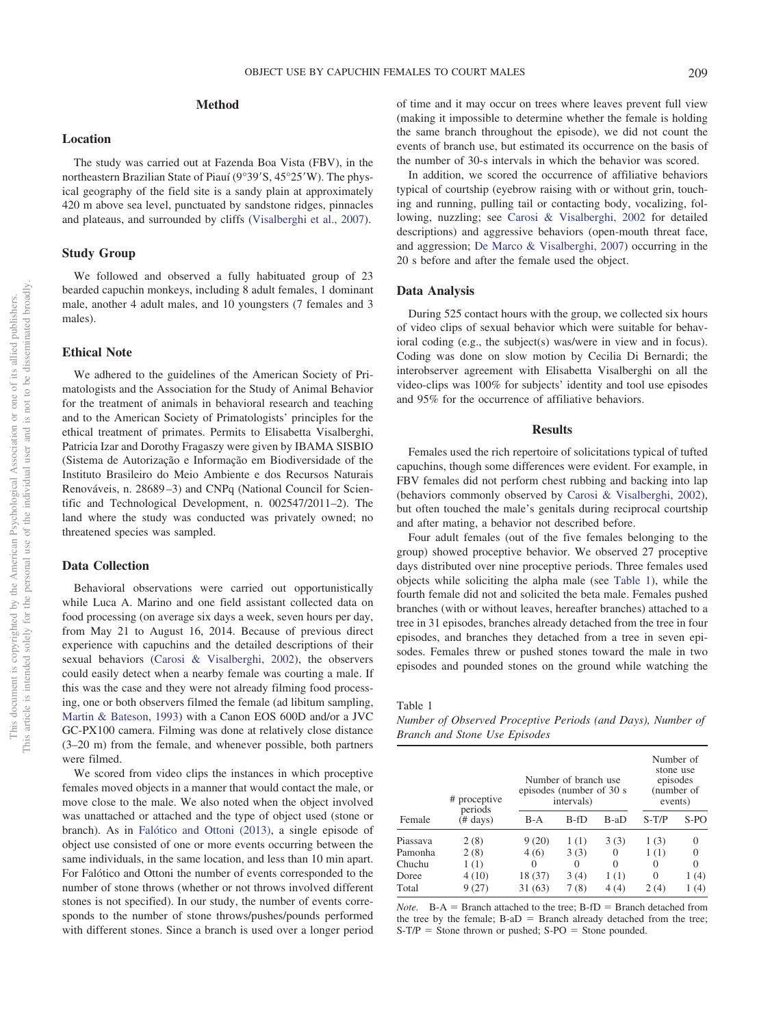## **Method**

#### **Location**

The study was carried out at Fazenda Boa Vista (FBV), in the northeastern Brazilian State of Piauí (9°39'S, 45°25'W). The physical geography of the field site is a sandy plain at approximately 420 m above sea level, punctuated by sandstone ridges, pinnacles and plateaus, and surrounded by cliffs [\(Visalberghi et al., 2007\)](#page-6-19).

#### **Study Group**

We followed and observed a fully habituated group of 23 bearded capuchin monkeys, including 8 adult females, 1 dominant male, another 4 adult males, and 10 youngsters (7 females and 3 males).

### **Ethical Note**

We adhered to the guidelines of the American Society of Primatologists and the Association for the Study of Animal Behavior for the treatment of animals in behavioral research and teaching and to the American Society of Primatologists' principles for the ethical treatment of primates. Permits to Elisabetta Visalberghi, Patricia Izar and Dorothy Fragaszy were given by IBAMA SISBIO (Sistema de Autorização e Informação em Biodiversidade of the Instituto Brasileiro do Meio Ambiente e dos Recursos Naturais Renováveis, n. 28689 –3) and CNPq (National Council for Scientific and Technological Development, n. 002547/2011–2). The land where the study was conducted was privately owned; no threatened species was sampled.

## **Data Collection**

Behavioral observations were carried out opportunistically while Luca A. Marino and one field assistant collected data on food processing (on average six days a week, seven hours per day, from May 21 to August 16, 2014. Because of previous direct experience with capuchins and the detailed descriptions of their sexual behaviors [\(Carosi & Visalberghi, 2002\)](#page-5-3), the observers could easily detect when a nearby female was courting a male. If this was the case and they were not already filming food processing, one or both observers filmed the female (ad libitum sampling, [Martin & Bateson, 1993\)](#page-6-20) with a Canon EOS 600D and/or a JVC GC-PX100 camera. Filming was done at relatively close distance (3–20 m) from the female, and whenever possible, both partners were filmed.

We scored from video clips the instances in which proceptive females moved objects in a manner that would contact the male, or move close to the male. We also noted when the object involved was unattached or attached and the type of object used (stone or branch). As in [Falótico and Ottoni \(2013\),](#page-6-5) a single episode of object use consisted of one or more events occurring between the same individuals, in the same location, and less than 10 min apart. For Falótico and Ottoni the number of events corresponded to the number of stone throws (whether or not throws involved different stones is not specified). In our study, the number of events corresponds to the number of stone throws/pushes/pounds performed with different stones. Since a branch is used over a longer period of time and it may occur on trees where leaves prevent full view (making it impossible to determine whether the female is holding the same branch throughout the episode), we did not count the events of branch use, but estimated its occurrence on the basis of the number of 30-s intervals in which the behavior was scored.

In addition, we scored the occurrence of affiliative behaviors typical of courtship (eyebrow raising with or without grin, touching and running, pulling tail or contacting body, vocalizing, following, nuzzling; see [Carosi & Visalberghi, 2002](#page-5-3) for detailed descriptions) and aggressive behaviors (open-mouth threat face, and aggression; [De Marco & Visalberghi, 2007\)](#page-5-8) occurring in the 20 s before and after the female used the object.

#### **Data Analysis**

During 525 contact hours with the group, we collected six hours of video clips of sexual behavior which were suitable for behavioral coding (e.g., the subject(s) was/were in view and in focus). Coding was done on slow motion by Cecilia Di Bernardi; the interobserver agreement with Elisabetta Visalberghi on all the video-clips was 100% for subjects' identity and tool use episodes and 95% for the occurrence of affiliative behaviors.

#### **Results**

Females used the rich repertoire of solicitations typical of tufted capuchins, though some differences were evident. For example, in FBV females did not perform chest rubbing and backing into lap (behaviors commonly observed by [Carosi & Visalberghi, 2002\)](#page-5-3), but often touched the male's genitals during reciprocal courtship and after mating, a behavior not described before.

Four adult females (out of the five females belonging to the group) showed proceptive behavior. We observed 27 proceptive days distributed over nine proceptive periods. Three females used objects while soliciting the alpha male (see [Table 1\)](#page-2-0), while the fourth female did not and solicited the beta male. Females pushed branches (with or without leaves, hereafter branches) attached to a tree in 31 episodes, branches already detached from the tree in four episodes, and branches they detached from a tree in seven episodes. Females threw or pushed stones toward the male in two episodes and pounded stones on the ground while watching the

<span id="page-2-0"></span>Table 1

*Number of Observed Proceptive Periods (and Days), Number of Branch and Stone Use Episodes*

| Female   | # proceptive<br>periods<br>$(\# \text{ days})$ | Number of branch use<br>episodes (number of 30 s<br>intervals) |      |          | Number of<br>stone use<br>episodes<br>(number of<br>events) |          |
|----------|------------------------------------------------|----------------------------------------------------------------|------|----------|-------------------------------------------------------------|----------|
|          |                                                | $B-A$                                                          | B-fD | $B-aD$   | $S-T/P$                                                     | $S-PO$   |
| Piassava | 2(8)                                           | 9(20)                                                          | 1(1) | 3(3)     | 1(3)                                                        | $\theta$ |
| Pamonha  | 2(8)                                           | 4(6)                                                           | 3(3) | 0        | 1(1)                                                        |          |
| Chuchu   | 1(1)                                           | 0                                                              | 0    | $\Omega$ | 0                                                           | $\Omega$ |
| Doree    | 4(10)                                          | 18 (37)                                                        | 3(4) | 1(1)     | 0                                                           | 1 (4)    |
| Total    | 9(27)                                          | 31(63)                                                         | 7(8) | 4(4)     | 2(4)                                                        | (4)      |

*Note.*  $B-A =$  Branch attached to the tree;  $B-fD =$  Branch detached from the tree by the female;  $B-aD =$  Branch already detached from the tree;  $S-T/P =$  Stone thrown or pushed;  $S-PO =$  Stone pounded.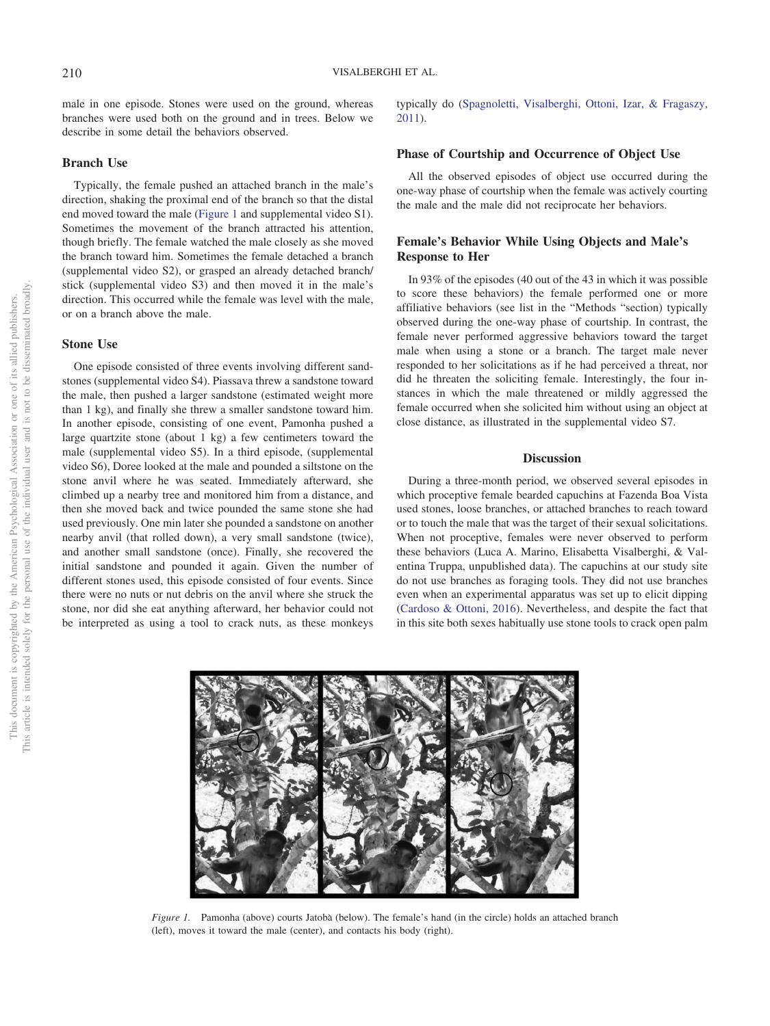male in one episode. Stones were used on the ground, whereas branches were used both on the ground and in trees. Below we describe in some detail the behaviors observed.

#### **Branch Use**

Typically, the female pushed an attached branch in the male's direction, shaking the proximal end of the branch so that the distal end moved toward the male [\(Figure 1](#page-3-0) and supplemental video S1). Sometimes the movement of the branch attracted his attention, though briefly. The female watched the male closely as she moved the branch toward him. Sometimes the female detached a branch (supplemental video S2), or grasped an already detached branch/ stick (supplemental video S3) and then moved it in the male's direction. This occurred while the female was level with the male, or on a branch above the male.

#### **Stone Use**

One episode consisted of three events involving different sandstones (supplemental video S4). Piassava threw a sandstone toward the male, then pushed a larger sandstone (estimated weight more than 1 kg), and finally she threw a smaller sandstone toward him. In another episode, consisting of one event, Pamonha pushed a large quartzite stone (about 1 kg) a few centimeters toward the male (supplemental video S5). In a third episode, (supplemental video S6), Doree looked at the male and pounded a siltstone on the stone anvil where he was seated. Immediately afterward, she climbed up a nearby tree and monitored him from a distance, and then she moved back and twice pounded the same stone she had used previously. One min later she pounded a sandstone on another nearby anvil (that rolled down), a very small sandstone (twice), and another small sandstone (once). Finally, she recovered the initial sandstone and pounded it again. Given the number of different stones used, this episode consisted of four events. Since there were no nuts or nut debris on the anvil where she struck the stone, nor did she eat anything afterward, her behavior could not be interpreted as using a tool to crack nuts, as these monkeys typically do [\(Spagnoletti, Visalberghi, Ottoni, Izar, & Fragaszy,](#page-6-21) [2011\)](#page-6-21).

## **Phase of Courtship and Occurrence of Object Use**

All the observed episodes of object use occurred during the one-way phase of courtship when the female was actively courting the male and the male did not reciprocate her behaviors.

# **Female's Behavior While Using Objects and Male's Response to Her**

In 93% of the episodes (40 out of the 43 in which it was possible to score these behaviors) the female performed one or more affiliative behaviors (see list in the "Methods "section) typically observed during the one-way phase of courtship. In contrast, the female never performed aggressive behaviors toward the target male when using a stone or a branch. The target male never responded to her solicitations as if he had perceived a threat, nor did he threaten the soliciting female. Interestingly, the four instances in which the male threatened or mildly aggressed the female occurred when she solicited him without using an object at close distance, as illustrated in the supplemental video S7.

#### **Discussion**

During a three-month period, we observed several episodes in which proceptive female bearded capuchins at Fazenda Boa Vista used stones, loose branches, or attached branches to reach toward or to touch the male that was the target of their sexual solicitations. When not proceptive, females were never observed to perform these behaviors (Luca A. Marino, Elisabetta Visalberghi, & Valentina Truppa, unpublished data). The capuchins at our study site do not use branches as foraging tools. They did not use branches even when an experimental apparatus was set up to elicit dipping [\(Cardoso & Ottoni, 2016\)](#page-5-9). Nevertheless, and despite the fact that in this site both sexes habitually use stone tools to crack open palm



<span id="page-3-0"></span>*Figure 1.* Pamonha (above) courts Jatobà (below). The female's hand (in the circle) holds an attached branch (left), moves it toward the male (center), and contacts his body (right).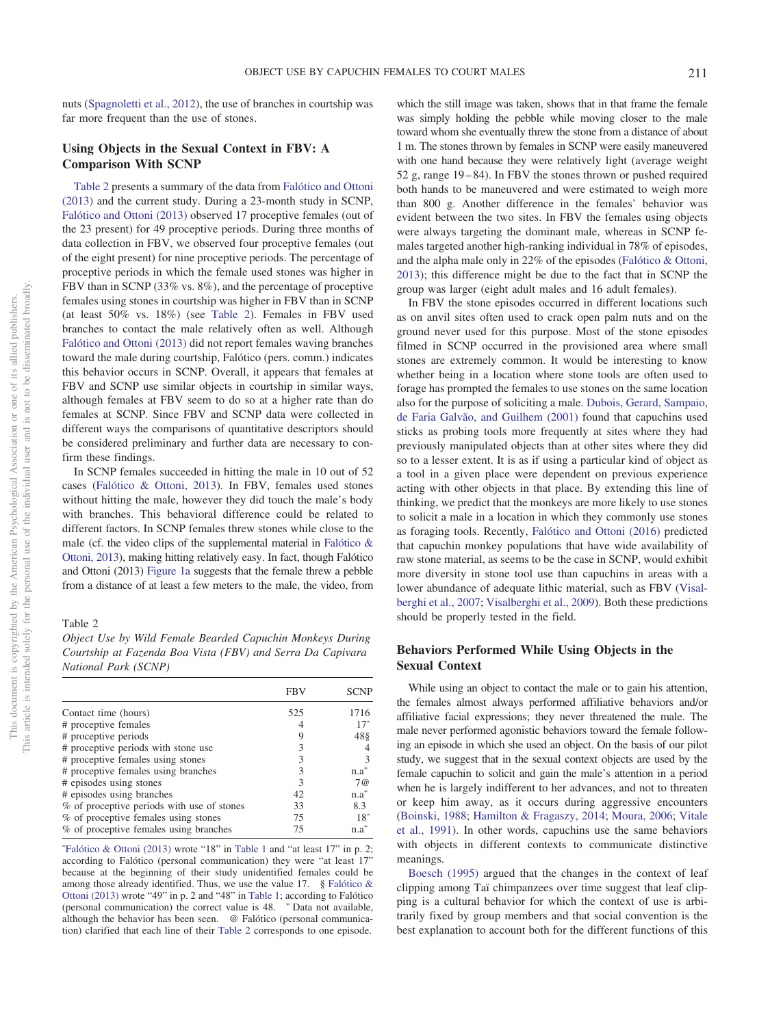nuts [\(Spagnoletti et al., 2012\)](#page-6-22), the use of branches in courtship was far more frequent than the use of stones.

## **Using Objects in the Sexual Context in FBV: A Comparison With SCNP**

[Table 2](#page-4-0) presents a summary of the data from [Falótico and Ottoni](#page-6-5) [\(2013\)](#page-6-5) and the current study. During a 23-month study in SCNP, [Falótico and Ottoni \(2013\)](#page-6-5) observed 17 proceptive females (out of the 23 present) for 49 proceptive periods. During three months of data collection in FBV, we observed four proceptive females (out of the eight present) for nine proceptive periods. The percentage of proceptive periods in which the female used stones was higher in FBV than in SCNP (33% vs. 8%), and the percentage of proceptive females using stones in courtship was higher in FBV than in SCNP (at least 50% vs. 18%) (see [Table 2\)](#page-4-0). Females in FBV used branches to contact the male relatively often as well. Although [Falótico and Ottoni \(2013\)](#page-6-5) did not report females waving branches toward the male during courtship, Falótico (pers. comm.) indicates this behavior occurs in SCNP. Overall, it appears that females at FBV and SCNP use similar objects in courtship in similar ways, although females at FBV seem to do so at a higher rate than do females at SCNP. Since FBV and SCNP data were collected in different ways the comparisons of quantitative descriptors should be considered preliminary and further data are necessary to confirm these findings.

In SCNP females succeeded in hitting the male in 10 out of 52 cases [\(Falótico & Ottoni, 2013\)](#page-6-5). In FBV, females used stones without hitting the male, however they did touch the male's body with branches. This behavioral difference could be related to different factors. In SCNP females threw stones while close to the male (cf. the video clips of the supplemental material in [Falótico &](#page-6-5) [Ottoni, 2013\)](#page-6-5), making hitting relatively easy. In fact, though Falótico and Ottoni (2013) [Figure 1a](#page-3-0) suggests that the female threw a pebble from a distance of at least a few meters to the male, the video, from

#### <span id="page-4-0"></span>Table 2

*Object Use by Wild Female Bearded Capuchin Monkeys During Courtship at Fazenda Boa Vista (FBV) and Serra Da Capivara National Park (SCNP)*

|                                            | <b>FBV</b> | <b>SCNP</b>  |
|--------------------------------------------|------------|--------------|
| Contact time (hours)                       | 525        | 1716         |
| # proceptive females                       |            | $17^\circ$   |
| # proceptive periods                       |            | 48§          |
| # proceptive periods with stone use        |            |              |
| # proceptive females using stones          |            |              |
| # proceptive females using branches        | 3          | n.a          |
| # episodes using stones                    |            | 7@           |
| # episodes using branches                  | 42         | $n.a^*$      |
| % of proceptive periods with use of stones | 33         | 8.3          |
| % of proceptive females using stones       | 75         | $18^{\circ}$ |
| % of proceptive females using branches     | 75         | n.a          |

[ˆFalótico & Ottoni \(2013\)](#page-6-5) wrote "18" in [Table 1](#page-2-0) and "at least 17" in p. 2; according to Falótico (personal communication) they were "at least 17" because at the beginning of their study unidentified females could be among those already identified. Thus, we use the value 17.  $\S$  [Falótico &](#page-6-5) [Ottoni \(2013\)](#page-6-5) wrote "49" in p. 2 and "48" in [Table 1;](#page-2-0) according to Falótico (personal communication) the correct value is 48. \* Data not available, although the behavior has been seen. @ Falótico (personal communication) clarified that each line of their [Table 2](#page-4-0) corresponds to one episode.

which the still image was taken, shows that in that frame the female was simply holding the pebble while moving closer to the male toward whom she eventually threw the stone from a distance of about 1 m. The stones thrown by females in SCNP were easily maneuvered with one hand because they were relatively light (average weight 52 g, range 19 – 84). In FBV the stones thrown or pushed required both hands to be maneuvered and were estimated to weigh more than 800 g. Another difference in the females' behavior was evident between the two sites. In FBV the females using objects were always targeting the dominant male, whereas in SCNP females targeted another high-ranking individual in 78% of episodes, and the alpha male only in 22% of the episodes [\(Falótico & Ottoni,](#page-6-5) [2013\)](#page-6-5); this difference might be due to the fact that in SCNP the group was larger (eight adult males and 16 adult females).

In FBV the stone episodes occurred in different locations such as on anvil sites often used to crack open palm nuts and on the ground never used for this purpose. Most of the stone episodes filmed in SCNP occurred in the provisioned area where small stones are extremely common. It would be interesting to know whether being in a location where stone tools are often used to forage has prompted the females to use stones on the same location also for the purpose of soliciting a male. [Dubois, Gerard, Sampaio,](#page-6-23) [de Faria Galvão, and Guilhem \(2001\)](#page-6-23) found that capuchins used sticks as probing tools more frequently at sites where they had previously manipulated objects than at other sites where they did so to a lesser extent. It is as if using a particular kind of object as a tool in a given place were dependent on previous experience acting with other objects in that place. By extending this line of thinking, we predict that the monkeys are more likely to use stones to solicit a male in a location in which they commonly use stones as foraging tools. Recently, [Falótico and Ottoni \(2016\)](#page-6-24) predicted that capuchin monkey populations that have wide availability of raw stone material, as seems to be the case in SCNP, would exhibit more diversity in stone tool use than capuchins in areas with a lower abundance of adequate lithic material, such as FBV [\(Visal](#page-6-19)[berghi et al., 2007;](#page-6-19) [Visalberghi et al., 2009\)](#page-6-25). Both these predictions should be properly tested in the field.

# **Behaviors Performed While Using Objects in the Sexual Context**

While using an object to contact the male or to gain his attention, the females almost always performed affiliative behaviors and/or affiliative facial expressions; they never threatened the male. The male never performed agonistic behaviors toward the female following an episode in which she used an object. On the basis of our pilot study, we suggest that in the sexual context objects are used by the female capuchin to solicit and gain the male's attention in a period when he is largely indifferent to her advances, and not to threaten or keep him away, as it occurs during aggressive encounters [\(Boinski, 1988;](#page-5-7) [Hamilton & Fragaszy, 2014;](#page-6-18) [Moura, 2006;](#page-6-15) [Vitale](#page-6-17) [et al., 1991\)](#page-6-17). In other words, capuchins use the same behaviors with objects in different contexts to communicate distinctive meanings.

[Boesch \(1995\)](#page-5-4) argued that the changes in the context of leaf clipping among Taï chimpanzees over time suggest that leaf clipping is a cultural behavior for which the context of use is arbitrarily fixed by group members and that social convention is the best explanation to account both for the different functions of this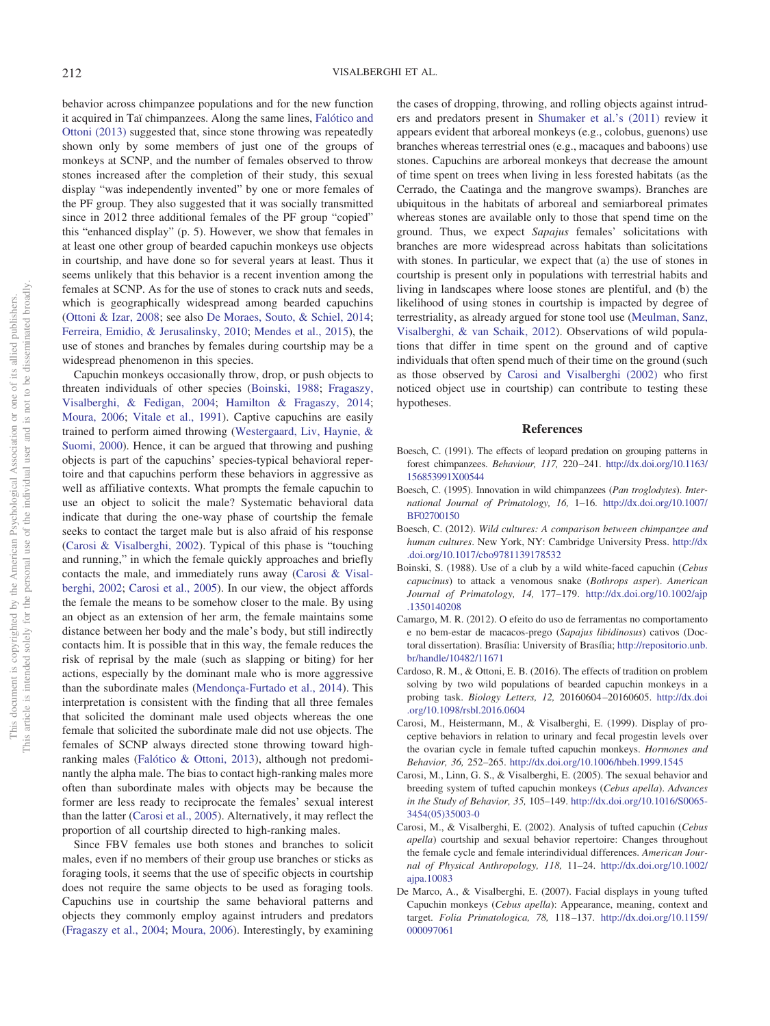behavior across chimpanzee populations and for the new function it acquired in Taï chimpanzees. Along the same lines, [Falótico and](#page-6-5) [Ottoni \(2013\)](#page-6-5) suggested that, since stone throwing was repeatedly shown only by some members of just one of the groups of monkeys at SCNP, and the number of females observed to throw stones increased after the completion of their study, this sexual display "was independently invented" by one or more females of the PF group. They also suggested that it was socially transmitted since in 2012 three additional females of the PF group "copied" this "enhanced display" (p. 5). However, we show that females in at least one other group of bearded capuchin monkeys use objects in courtship, and have done so for several years at least. Thus it seems unlikely that this behavior is a recent invention among the females at SCNP. As for the use of stones to crack nuts and seeds, which is geographically widespread among bearded capuchins [\(Ottoni & Izar, 2008;](#page-6-26) see also [De Moraes, Souto, & Schiel, 2014;](#page-6-27) [Ferreira, Emidio, & Jerusalinsky, 2010;](#page-6-28) [Mendes et al., 2015\)](#page-6-29), the use of stones and branches by females during courtship may be a widespread phenomenon in this species.

Capuchin monkeys occasionally throw, drop, or push objects to threaten individuals of other species [\(Boinski, 1988;](#page-5-7) [Fragaszy,](#page-6-30) [Visalberghi, & Fedigan, 2004;](#page-6-30) [Hamilton & Fragaszy, 2014;](#page-6-18) [Moura, 2006;](#page-6-15) [Vitale et al., 1991\)](#page-6-17). Captive capuchins are easily trained to perform aimed throwing [\(Westergaard, Liv, Haynie, &](#page-6-31) [Suomi, 2000\)](#page-6-31). Hence, it can be argued that throwing and pushing objects is part of the capuchins' species-typical behavioral repertoire and that capuchins perform these behaviors in aggressive as well as affiliative contexts. What prompts the female capuchin to use an object to solicit the male? Systematic behavioral data indicate that during the one-way phase of courtship the female seeks to contact the target male but is also afraid of his response [\(Carosi & Visalberghi, 2002\)](#page-5-3). Typical of this phase is "touching and running," in which the female quickly approaches and briefly contacts the male, and immediately runs away [\(Carosi & Visal](#page-5-3)[berghi, 2002;](#page-5-3) [Carosi et al., 2005\)](#page-5-2). In our view, the object affords the female the means to be somehow closer to the male. By using an object as an extension of her arm, the female maintains some distance between her body and the male's body, but still indirectly contacts him. It is possible that in this way, the female reduces the risk of reprisal by the male (such as slapping or biting) for her actions, especially by the dominant male who is more aggressive than the subordinate males [\(Mendonça-Furtado et al., 2014\)](#page-6-32). This interpretation is consistent with the finding that all three females that solicited the dominant male used objects whereas the one female that solicited the subordinate male did not use objects. The females of SCNP always directed stone throwing toward highranking males [\(Falótico & Ottoni, 2013\)](#page-6-5), although not predominantly the alpha male. The bias to contact high-ranking males more often than subordinate males with objects may be because the former are less ready to reciprocate the females' sexual interest than the latter [\(Carosi et al., 2005\)](#page-5-2). Alternatively, it may reflect the proportion of all courtship directed to high-ranking males.

Since FBV females use both stones and branches to solicit males, even if no members of their group use branches or sticks as foraging tools, it seems that the use of specific objects in courtship does not require the same objects to be used as foraging tools. Capuchins use in courtship the same behavioral patterns and objects they commonly employ against intruders and predators [\(Fragaszy et al., 2004;](#page-6-30) [Moura, 2006\)](#page-6-15). Interestingly, by examining

the cases of dropping, throwing, and rolling objects against intruders and predators present in [Shumaker et al.'s \(2011\)](#page-6-6) review it appears evident that arboreal monkeys (e.g., colobus, guenons) use branches whereas terrestrial ones (e.g., macaques and baboons) use stones. Capuchins are arboreal monkeys that decrease the amount of time spent on trees when living in less forested habitats (as the Cerrado, the Caatinga and the mangrove swamps). Branches are ubiquitous in the habitats of arboreal and semiarboreal primates whereas stones are available only to those that spend time on the ground. Thus, we expect *Sapajus* females' solicitations with branches are more widespread across habitats than solicitations with stones. In particular, we expect that (a) the use of stones in courtship is present only in populations with terrestrial habits and living in landscapes where loose stones are plentiful, and (b) the likelihood of using stones in courtship is impacted by degree of terrestriality, as already argued for stone tool use [\(Meulman, Sanz,](#page-6-33) [Visalberghi, & van Schaik, 2012\)](#page-6-33). Observations of wild populations that differ in time spent on the ground and of captive individuals that often spend much of their time on the ground (such as those observed by [Carosi and Visalberghi \(2002\)](#page-5-3) who first noticed object use in courtship) can contribute to testing these hypotheses.

## **References**

- <span id="page-5-6"></span>Boesch, C. (1991). The effects of leopard predation on grouping patterns in forest chimpanzees. *Behaviour, 117,* 220 –241. [http://dx.doi.org/10.1163/](http://dx.doi.org/10.1163/156853991X00544) [156853991X00544](http://dx.doi.org/10.1163/156853991X00544)
- <span id="page-5-4"></span>Boesch, C. (1995). Innovation in wild chimpanzees (*Pan troglodytes*). *International Journal of Primatology, 16,* 1–16. [http://dx.doi.org/10.1007/](http://dx.doi.org/10.1007/BF02700150) [BF02700150](http://dx.doi.org/10.1007/BF02700150)
- <span id="page-5-0"></span>Boesch, C. (2012). *Wild cultures: A comparison between chimpanzee and human cultures*. New York, NY: Cambridge University Press. [http://dx](http://dx.doi.org/10.1017/cbo9781139178532) [.doi.org/10.1017/cbo9781139178532](http://dx.doi.org/10.1017/cbo9781139178532)
- <span id="page-5-7"></span>Boinski, S. (1988). Use of a club by a wild white-faced capuchin (*Cebus capucinus*) to attack a venomous snake (*Bothrops asper*). *American Journal of Primatology, 14,* 177–179. [http://dx.doi.org/10.1002/ajp](http://dx.doi.org/10.1002/ajp.1350140208) [.1350140208](http://dx.doi.org/10.1002/ajp.1350140208)
- <span id="page-5-1"></span>Camargo, M. R. (2012). O efeito do uso de ferramentas no comportamento e no bem-estar de macacos-prego (*Sapajus libidinosus*) cativos (Doctoral dissertation). Brasília: University of Brasília; [http://repositorio.unb.](http://repositorio.unb.br/handle/10482/11671) [br/handle/10482/11671](http://repositorio.unb.br/handle/10482/11671)
- <span id="page-5-9"></span>Cardoso, R. M., & Ottoni, E. B. (2016). The effects of tradition on problem solving by two wild populations of bearded capuchin monkeys in a probing task. *Biology Letters, 12,* 20160604 –20160605. [http://dx.doi](http://dx.doi.org/10.1098/rsbl.2016.0604) [.org/10.1098/rsbl.2016.0604](http://dx.doi.org/10.1098/rsbl.2016.0604)
- <span id="page-5-5"></span>Carosi, M., Heistermann, M., & Visalberghi, E. (1999). Display of proceptive behaviors in relation to urinary and fecal progestin levels over the ovarian cycle in female tufted capuchin monkeys. *Hormones and Behavior, 36,* 252–265. <http://dx.doi.org/10.1006/hbeh.1999.1545>
- <span id="page-5-2"></span>Carosi, M., Linn, G. S., & Visalberghi, E. (2005). The sexual behavior and breeding system of tufted capuchin monkeys (*Cebus apella*). *Advances in the Study of Behavior, 35,* 105–149. [http://dx.doi.org/10.1016/S0065-](http://dx.doi.org/10.1016/S0065-3454%2805%2935003-0) [3454\(05\)35003-0](http://dx.doi.org/10.1016/S0065-3454%2805%2935003-0)
- <span id="page-5-3"></span>Carosi, M., & Visalberghi, E. (2002). Analysis of tufted capuchin (*Cebus apella*) courtship and sexual behavior repertoire: Changes throughout the female cycle and female interindividual differences. *American Journal of Physical Anthropology, 118,* 11–24. [http://dx.doi.org/10.1002/](http://dx.doi.org/10.1002/ajpa.10083) [ajpa.10083](http://dx.doi.org/10.1002/ajpa.10083)
- <span id="page-5-8"></span>De Marco, A., & Visalberghi, E. (2007). Facial displays in young tufted Capuchin monkeys (*Cebus apella*): Appearance, meaning, context and target. *Folia Primatologica, 78,* 118 –137. [http://dx.doi.org/10.1159/](http://dx.doi.org/10.1159/000097061) [000097061](http://dx.doi.org/10.1159/000097061)